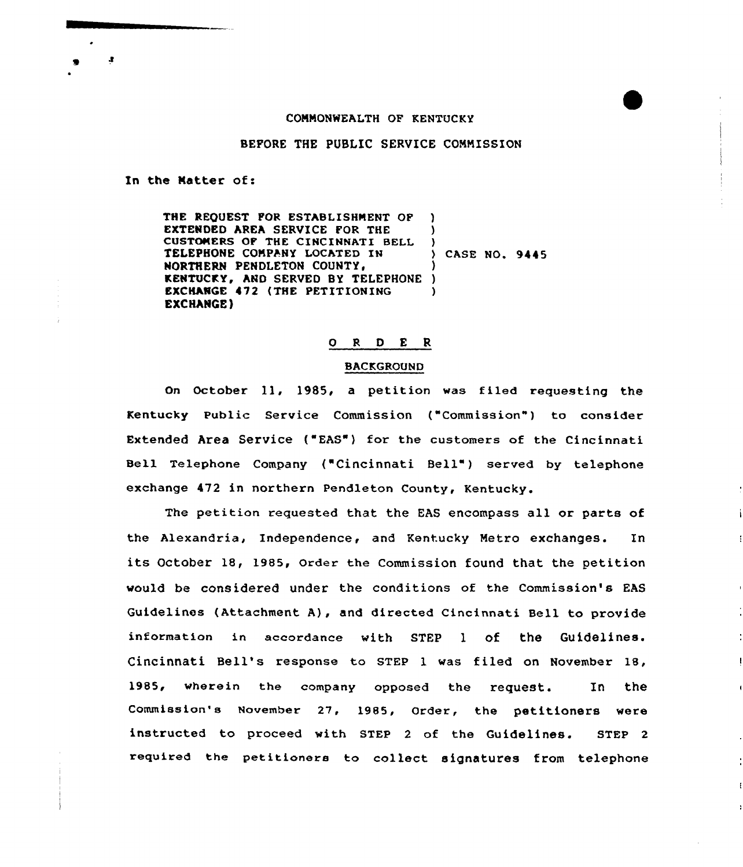## COMMONWEALTH OF KENTUCKY

BEFORE THE PUBLIC SERVICE COMMISSION

In the Matter of:

£.

THE REQUEST FOR ESTABLISHMENT OF EXTENDED AREA SERVICE FOR THE CUSTOMERS OF THE CINCINNATI BELI TELEPHONE COMPANY LOCATED IN NORTHERN PENDLETON COUNTY, KENTUCKY, AND SERVED BY TELEPHONE ) EXCHANGE 472 (THE PETITIONING EXCHANGE) ) ) )<br>} case no. 9445 ) )

# 0 R <sup>D</sup> E R

#### BACKGROUND

On October ll, 1985, <sup>a</sup> petition was filed requesting the Kentucky Public Service Commission ("Commission" ) to consider Extended Area Service ("EAS") for the customers of the Cincinnati Bell Telephone Company ("Cincinnati Bell" ) served by telephone exchange 472 in northern Pendleton County, Kentucky.

The petition requested that the EAS encompass all or parts of the Alexandria, Independence, and Kentucky Metro exchanges. In its October 18, 1985, Order the Commission found that the petition would be considered under the conditions of the Commission's EAS Guidelines (Attachment A), and directed Cincinnati Bell to provide information in accordance with STEP 1 of the Cincinnati Bell's response to STEP l was filed on November 18, 1985, wherein the company opposed the request. In the Commission's November 27, 1985, Order, the petitioners were instructed to proceed with STEP <sup>2</sup> of the Guidelines. STEP <sup>2</sup> required the petitioners to collect signatures from telephone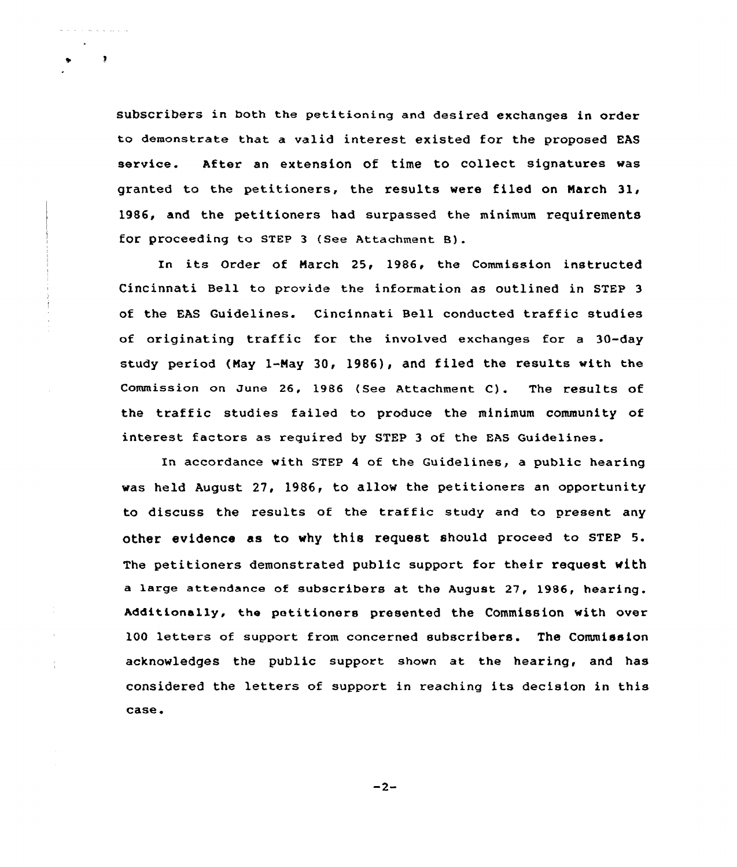subscribers in both the petitioning and desired exchanges in order to demonstrate that a valid interest existed for the proposed EAS service. After an extension of time to collect signatures was granted to the petitioners, the results were filed on Narch 31, 1986, and the petitioners had surpassed the minimum requirements for proceeding to sTEP <sup>3</sup> (see Attachment B).

سأنتج الموارث المرابط المراجع والمراجع

 $\bullet$ 

In its Order of March 25, 1986, the Commission instructed Cincinnati Bell to provide the information as outlined in STEP 3 of the EAS Guidelines. Cincinnati Bell conducted traffic studies of originating traffic for the involved exchanges for <sup>a</sup> 30-day study period (May 1-Nay 30, 1986), and filed the results with the Commission on June 26, 1986 (See Attachment C). The results of the traffic studies failed to produce the minimum community of interest factors as required by STEP 3 of the EAS Guidelines.

In accordance with STEP 4 of the Guidelines, a public hearing was held August 27, 1986, to allow the petitioners an opportunity to discuss the results of the traffic study and to present any other evidence as to why this request should proceed to sTEp 5. The petitioners demonstrated public support for their request with a large attendance of subscribers at the August 27, 1986, hearing. Additionally, the petitioners presented the Commission with over 100 letters of support from concerned subscribers. The Commission acknowledges the public support shown at the hearing, and has considered the letters of support in reaching its decision in this case.

 $-2-$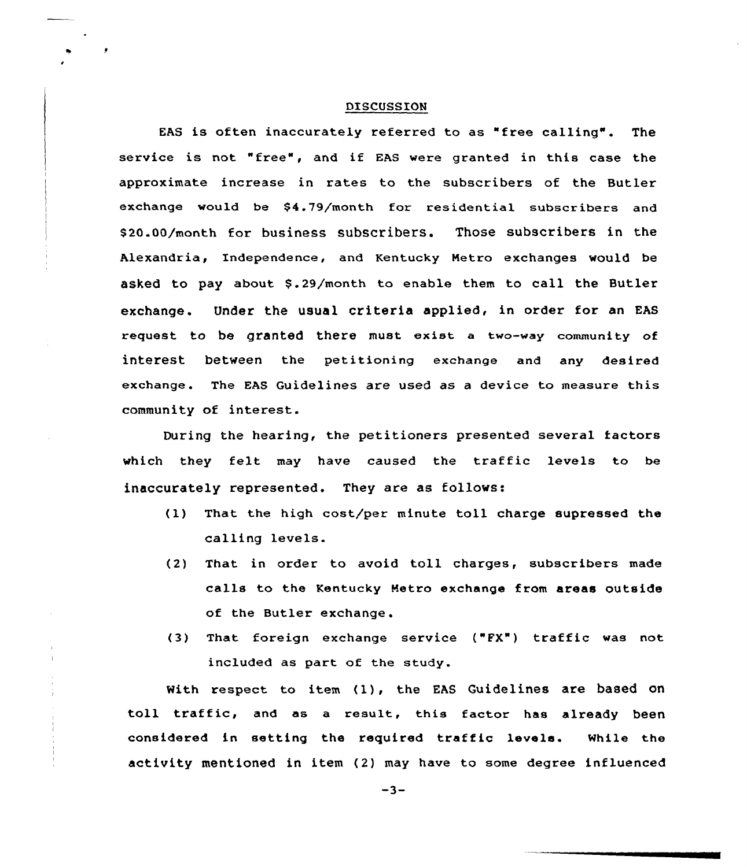#### DISCUSSION

EAS is often inaccurately referred to as "free calling". The service is not "free", and if EAS were granted in this case the approximate increase in rates to the subscribers of the Butler exchange would be \$4.79/month for residential subscribers and S20.00/month for business subscribers. Those subscribers in the Alexandria, Independence, and Kentucky Metro exchanges would be asked to pay about \$.29/month to enable them to call the Butler exchange. Under the usual criteria applied, in order for an EAS request to be granted there must exist <sup>a</sup> two-way community of interest between the petitioning exchange and any desired exchange. The EAS Guidelines are used as a device to measure this community of interest.

During the hearing, the petitioners presented several factors which they felt may have caused the traffic levels to be inaccurately represented. They are as follows:

- (l) That the high cost/per minute toll charge supressed the calling levels.
- (2) That in order to avoid toll charges, subscribers made calls to the Kentucky Retro exchange from areas outside of the Butler exchange.
- (3) That foreign exchange service ("FX") traffic was not included as part of the study.

With respect to item (l), the EAS Guidelines are based on toll traffic, and as <sup>a</sup> result, this factor has already been considered in setting the required traffic levels. While the activity mentioned in item (2) may have to some degree influenced

 $-3-$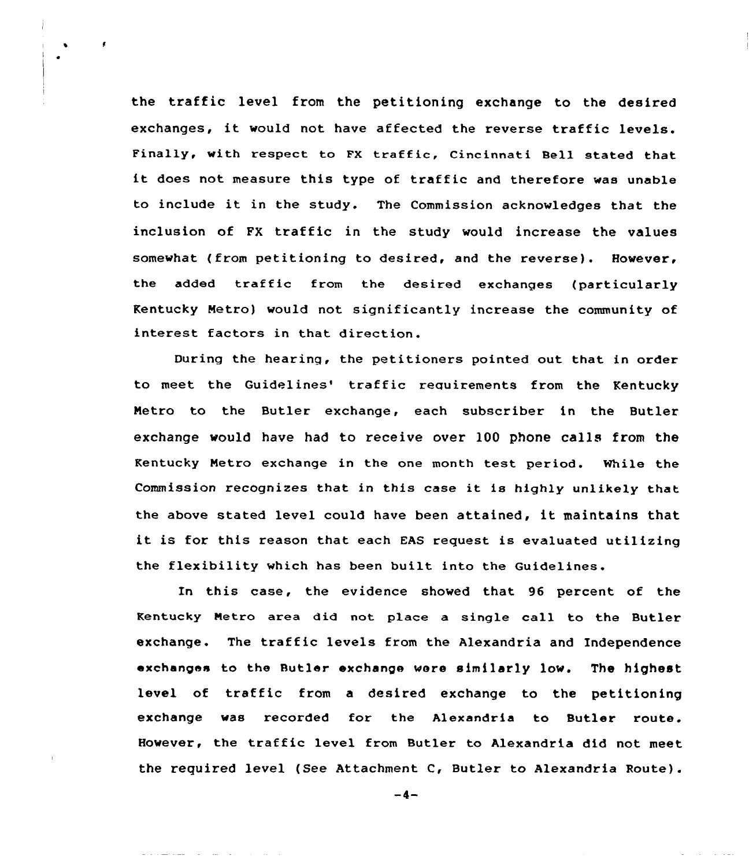the traffic level from the petitioning exchange to the desired exchanges, it would not have affected the reverse traffic levels. Finally, with respect to FX traffic, Cincinnati Bell stated that it does not measure this type of traffic and therefore was unable to include it in the study. The Commission acknowledges that the inclusion of FX traffic in the study would increase the values somewhat (from petitioning to desired, and the reverse). However, the added traffic from the desired exchanges (particularly Kentucky Metro) would not significantly increase the community of interest factors in that direction.

 $\mathbf{r}$ 

During the hearing, the petitioners pointed out that in order to meet the Guidelines' traffic requirements from the Kentucky Netro to the Butler exchange, each subscriber in the Butler exchange would have had to receive over 100 phone calls from the Kentucky Netro exchange in the one month test period. While the Commission recognizes that in this case it is highly unlikely that the above stated level could have been attained, it maintains that it is for this reason that each EAS request is evaluated utilizing the flexibility which has been built into the Guidelines.

In this case, the evidence showed that 96 percent of the Kentucky Metro area did not place a single call to the Butler exchange. The traffic levels from the Alexandria and Independence exchanges to the Butler exchange were similarly low. The highest level of traffic from <sup>a</sup> desired exchange to the petitioning exchange was recorded for the Alexandria to Butler route. However, the traffic level from Butler to Alexandria did not meet the required level (See Attachment C, Butler to Alexandria Route).

 $-4-$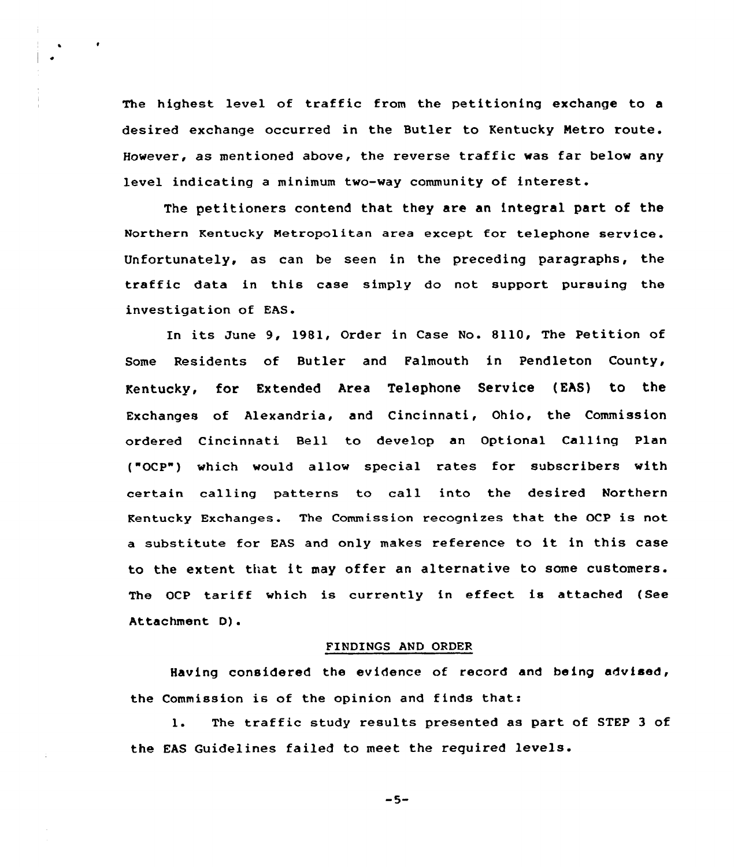The highest level of traffic from the petitioning exchange to <sup>a</sup> desired exchange occurred in the Butler to Kentucky Netro route. However, as mentioned above, the reverse traffic was far below any level indicating <sup>a</sup> minimum two-way community of interest.

The petitioners contend that they are an integral part of the Northern Kentucky Metropolitan area except for telephone service. Unfortunately, as can be seen in the preceding paragraphs, the traffic data in this case simply do not support pursuing the investigation of EAS.

In its June 9, 1981, Order in Case No. 8110, The Petition of Some Residents of Butler and Falmouth in Pendleton County, Kentucky, for Extended Area Telephone Service (EAS) to the Exchanges of Alexandria, and Cincinnati, Ohio, the Commission ordered Cincinnati Bell to develop an Optional Calling Plan ("OCP") which would allow special rates for subscribers with certain calling patterns to call into the desired Northern Kentucky Exchanges. The Commission recognizes that the OCP is not <sup>a</sup> substitute for EAS and only makes reference to it in this case to the extent that it may offer an alternative to some customers. The OCP tariff which is currently in effect. is attached (See Attachment D).

### FINDINGS AND ORDER

Having considered the evidence of record and being advised, the Commission is of the opinion and finds that:

1. The traffic study results presented as part of STEP <sup>3</sup> of the EAS Guidelines failed to meet the reguired levels.

 $-5-$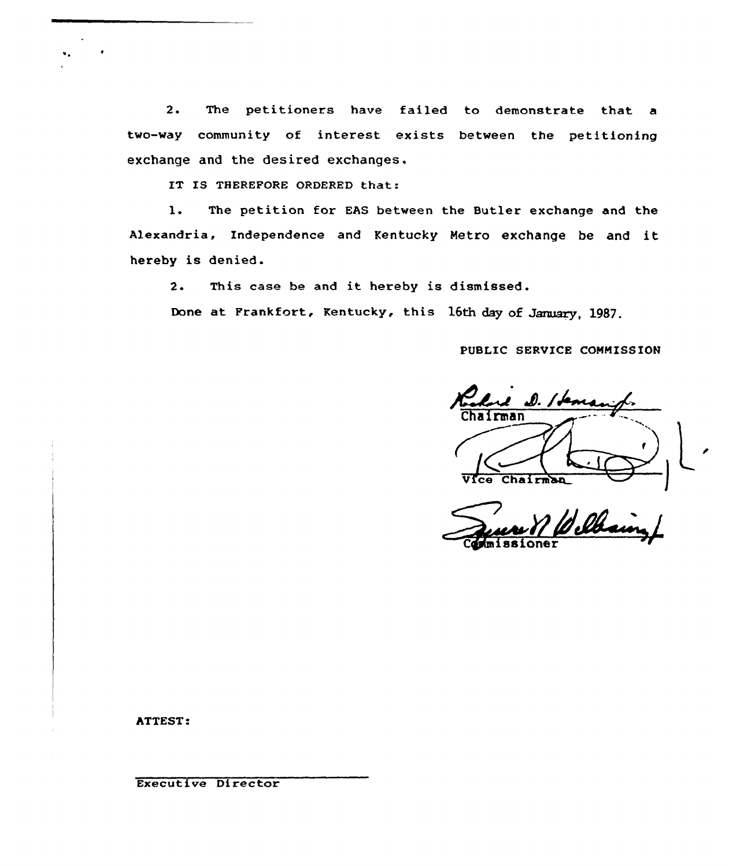2. The petitioners have failed to demonstrate that a two-way community of interest exists between the petitioning exchange and the desired exchanges.

IT IS THEREFORE ORDERED that:

l. The petition for EAS between the Butler exchange and the Alexandria, Independence and Kentucky Metro exchange be and it hereby is denied.

2. This case be and it hereby is dismissed.

Done at Frankfort, Kentucky, this 16th day of January, 1987.

PUBLIC SERVICE COMMISSION

2 D. / fems Chairman VIce Chairman

ATTEST:

Executive Director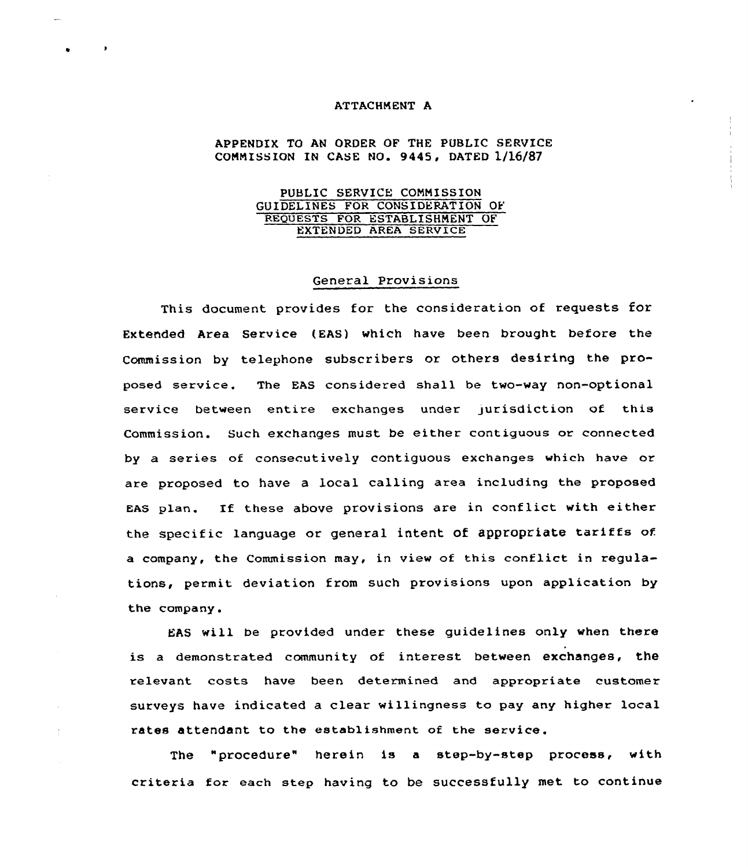# ATTACHMENT A

# APPENDIX TO AN ORDER OF THE PUBLIC SERVICE COMMISSION IN CASE NO. 9445, DATED  $1/16/87$

## PUBLIC SERVICE CONNISSION GUIDELINES FOR CONSIDERATION OF REguESTS FOR ESTABLISHMENT OF EXTENDED AREA SERVICE

## General Provisions

This document provides for the consideration of requests for Extended Area Service (EAS) which have been brought before the Commission by telephone subscribers or others desiring the proposed service. 'The EAS considered shall be two-way non-optional service between entire exchanges under jurisdiction of this Commission. Such exchanges must be either contiguous or connected by a series of consecutively contiguous exchanges which have or are proposed to have a local calling area including the proposed EAS plan. If these above provisions are in conflict with either the specific language or general intent of appropriate tariffs of a company, the Commission may, in view of this conflict in regulations, permit deviation from such provisions upon application by the company.

EAS will be provided under these guidelines only when there is a demonstrated community of interest between exchanges, the relevant costs have been determined and appropriate customer surveys have indicated a clear willingness to pay any higher local rates attendant to the establishment of the service.

The "procedure" herein is a step-by-step process, with criteria for each step having to be successfully met to continue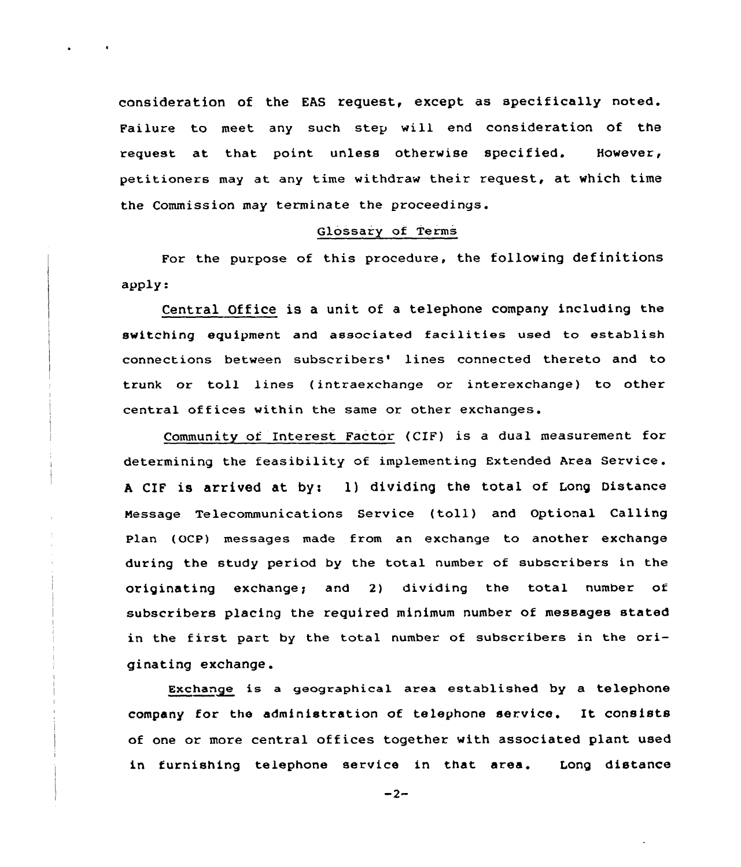consideration of the EAS request, except as specifically noted. Failure to meet any such step will end consideration of the request at that point unless otherwise specified. However, petitioners may at any time withdraw their request, at which time the Commission may terminate the proceedings.

### Glossary of Terms

For the purpose of this procedure, the following definitions apply.

Central Office is a unit of a telephone company including the switching equipment and associated facilities used to establish connections between subscribers' lines connected thereto and to trunk or toll lines ( intraexchange or interexchange) to other central offices within the same or other exchanges.

Community of Interest Factor (CIF) is a dual measurement for determining the feasibility of implementing Extended Area Service. A CIF is arrived at by: 1) dividing the total of Long Distance Message Telecommunications Service {toll) and Optional Calling plan (OCp) messages made from an exchange to another exchange during the study period by the total number of subscribers in the originating exchange; and 2) dividing the total number of subscribers placing the required minimum number of messages stated in the first part by the total number of subscribers in the originating exchange.

Exchange is a geographical area established by a telephone company for the administration of telephone service. It consists of one or more central offices together with associated plant used in furnishing telephone service in that area. Long distance

 $-2-$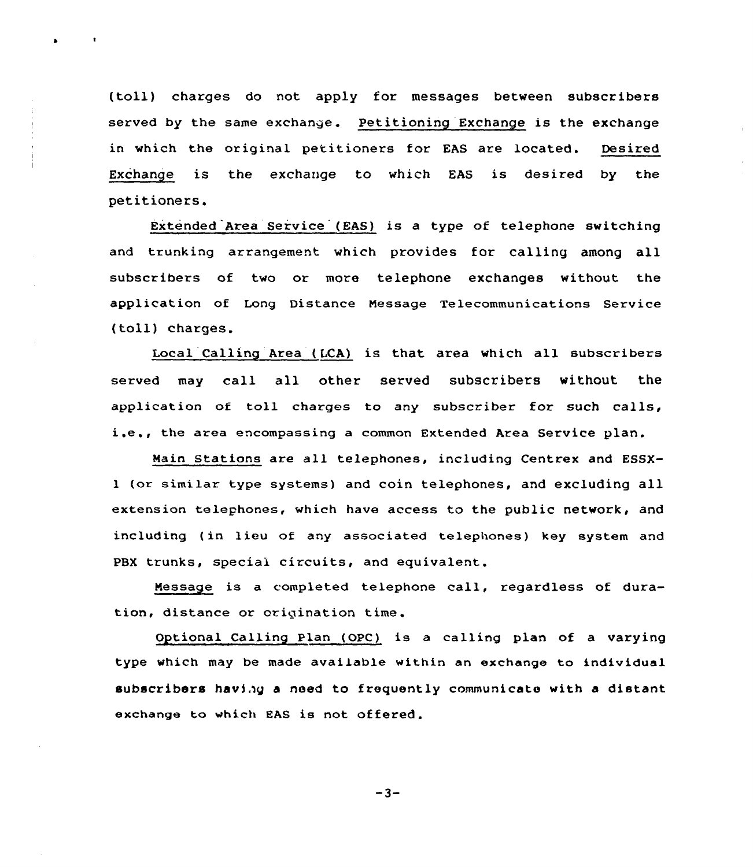(toll) charges do not apply for messages between subscribers served by the same exchange. Petitioning Exchange is the exchange in which the original petitioners for EAS are located. Desired Exchange is the exchange to which EAS is desired by the petitioners.

 $\ddot{\phantom{1}}$ 

 $\bullet$ 

Extended Area Service (EAS} is a type of telephone switching and trunking arrangement which provides for calling among all subscribers of two or more telephone exchanges without the application of Long Distance Message Telecommunications Service (toll) charges.

Local Calling Area (LCA) is that area which all subscribers served may call all other served subscribers without the application of toll charges to any subscriber for such calls, i.e., the area encompassing <sup>a</sup> common Extended Area Service plan.

Main Stations are all telephones, including Centrex and ESSXl (or similar type systems} and coin telephones, and excluding all extension telephones, which have access to the public network, and including (in lieu of any associated telephones} key system and PBX trunks, special circuits, and equivalent.

Message is a completed telephone eall, regardless of duration, distance or origination time.

Optional Calling Plan (OPC) is a calling plan of a varying type which may be made available within an exchange to individual subscribers having a need to frequently communicate with a distant exchange to which EAS is not offered.

 $-3-$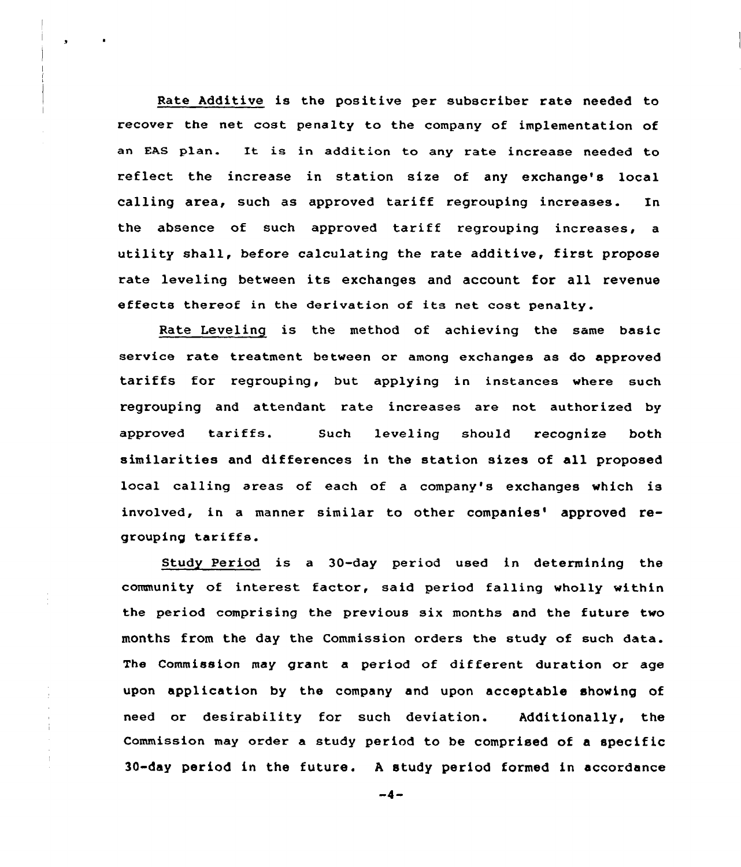Rate Additive is the positive per subscriber rate needed to recover the net cost penalty to the company of implementation of an EAS plan. It is in addition to any rate increase needed to reflect the increase in station size of any exchange's local calling area, such as approved tariff regrouping increases. In the absence of such approved tariff regrouping increases, <sup>a</sup> utility shall, before calculating the rate additive, first propose rate leveling between its exchanges and account for all revenue effects thereof in the derivation of its net cost penalty.

Rate Leveling is the method of achieving the same basic service rate treatment between or among exchanges as do approved tariffs for regrouping, but applying in instances where such regrouping and attendant rate increases are not authorized by approved tariffs. Such leveling should recognize both similarities and differences in the station sizes of all proposed local calling areas of each of a company's exchanges which is involved, in a manner similar to other companies' approved regrouping tariffs.

Study Period is <sup>a</sup> 30-day period used in determining the community of interest factor, said period falling wholly within the period comprising the previous six months and the future two months from the day the Commission orders the study of such data. The Commission may grant a period of different duration or age upon application by the company and upon acceptable showing of need or desirability for such deviation. Additionally, the Commission may order a study period to be comprised of a specific 30-day period in the future. <sup>A</sup> study period formed in accordance

 $-4-$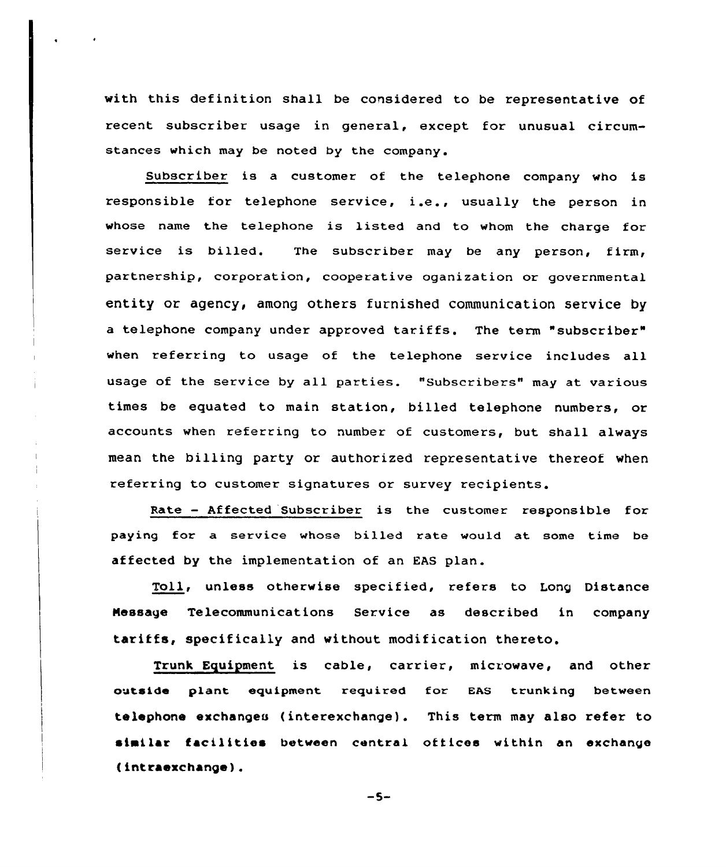with this definition shall be considered to be representative of recent subscriber usage in general, except for unusual circumstances which may be noted by the company.

Subscziber is a customer of the telephone company who is responsible for telephone service, i.e., usually the person in whose name the telephone is listed and to whom the charge for service is billed. The subscriber may be any person, firm, paxtnership, cozporation, coopezative oganization or governmental entity or agency, among others furnished communication service by <sup>a</sup> telephone company under approved tariffs. The term "subscriber" when referring to usage of the telephone service includes all usage of the service by all parties. "Subscribers" may at various times be equated to main station, billed telephone numbers, or accounts when referring to number of customers, but shall always mean the billing party or authorized representative thereof when referring to customer signatures or survey recipients.

Rate — Affected Subscriber is the customer responsible for paying fox a service whose billed xate would at some time be affected by the implementation of an EAS plan.

Toll, unless othexwise specified, refers to Long Distance message Telecommunications Service as described in company tariffs, specifically and without modification thereto.

Trunk Equipment is cable, carrier, microwave, and other outside plant equipment required for. EAS trunking between telephona exchanges ( interexchange) . This term may also refer to similar facilities between central offices within an exchange ( intraexchange ) .

$$
-5-
$$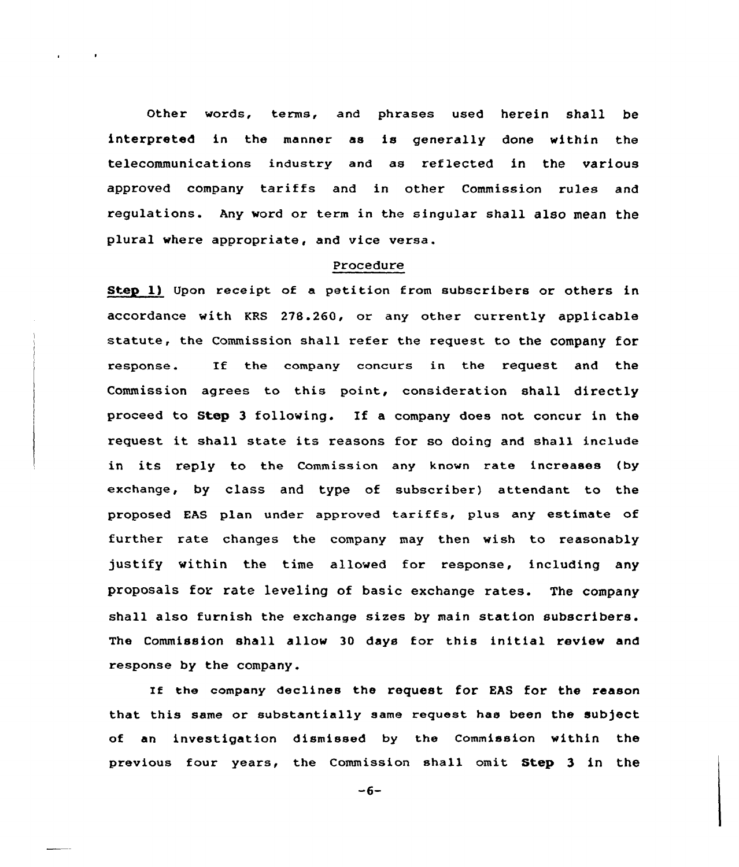Other words, terms, and phrases used herein shall be interpreted in the manner as is generally done within the telecommunications industry and as reflected in the various approved company tariffs and in other Commission rules and regulations. Any word or term in the singular shall also mean the plural where appropriate, and vice versa.

### Procedure

Step l) Upon receipt of a petition from subscribers or others in accordance with KRS 278.260, or any other currently applicable statute, the Commission shall refer the request to the company for response. If the company concurs in the request and the Commission agrees to this point, consideration shall directly proceed to Step <sup>3</sup> following. If a company does not concur in the request it shall state its reasons for so doing and shall include in its reply to the Commission any known rate increases (by exchange, by class and type of subscriber) attendant to the proposed HAS plan under approved tariffs, plus any estimate of further rate changes the company may then wish to reasonably justify within the time allowed for response, including any proposals for rate leveling of basic exchange rates. The company shall also furnish the exchange sizes by main station subscribers. The Commission shall allow 30 days for this initial review and response by the company.

If the company declines the request for EAS for the reason that this same or substantially same request has been the subject of an investigation dismissed by the Commission within the previous four years, the Commission shall omit Step 3 in the

 $-6-$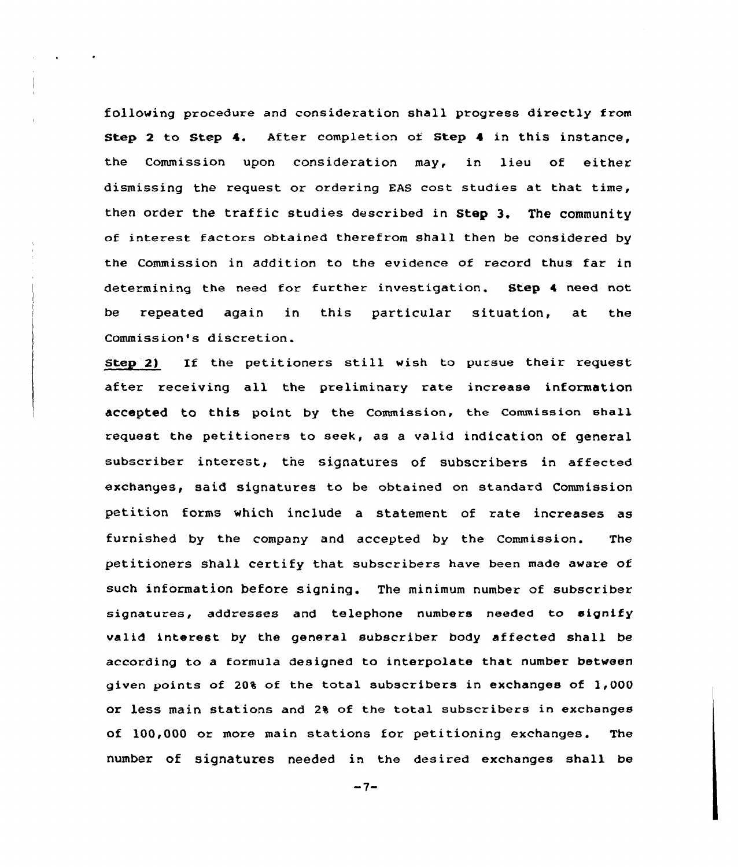following procedure and consideration shall progress directly from Step 2 to Step 4. After completion of Step 4 in this instance, the Commission upon consideration may, in lieu of either dismissing the request or ordering EAS cost studies at that time, then order the traffic studies described in Step 3. The community of interest factors obtained therefrom shall then be considered by the Commission in addition to the evidence of zecord thus faz in determining the need for further investigation. Step 4 need not be repeated again in this particular situation, at the Commission's discretion.

Step 2) If the petitioners still wish to pursue their request after receiving all the preliminazy rate increase information accepted to this point by the Commission, the commission shall request the petitioners to seek, as a valid indication of general subscriber interest, the signatures of subscribers in affected exchanges, said signatures to be obtained on standard Commission petition forms which include a statement of rate increases as furnished by the company and accepted by the Commission. The petitioners shall certify that subscribers have been made aware of such information before signing. The minimum numbez of subscriber signatures, addresses and telephone numbers needed to signify valid interest by the general subscriber body affected shall be according to a formula designed to interpolate that number between given points of 20% of the total subscribers in exchanges of 1,000 or less main stations and 2% of the total subscribers in exchanges of l00,000 or more main stations for petitioning exchanges. The number of signatures needed in the desired exchanges shall be

 $-7-$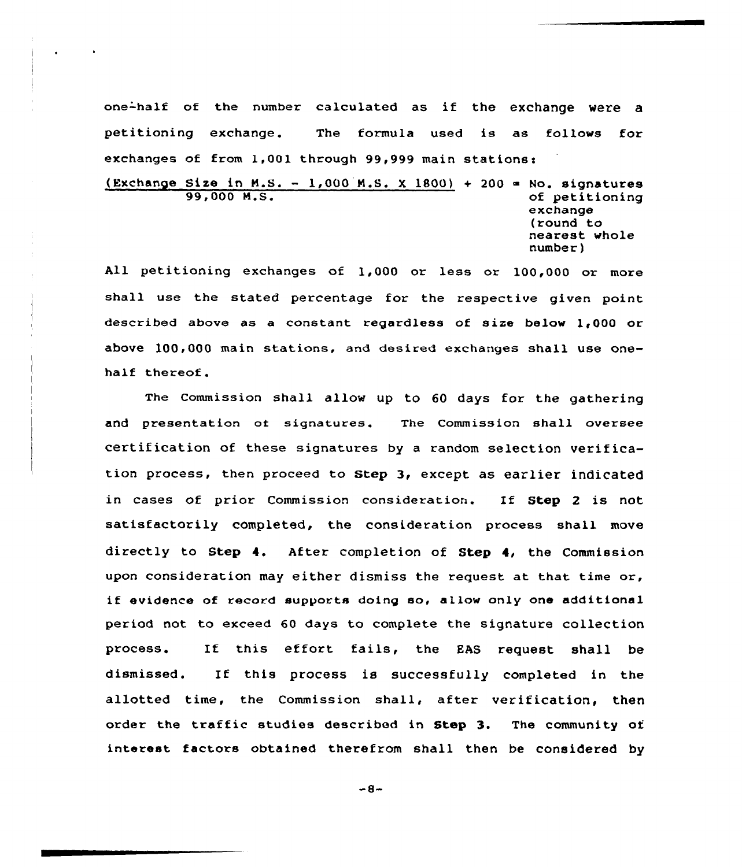one-half of the number calculated as if the exchange were <sup>a</sup> petitioning exchange. The formula used is as follows for exchanges of from 1,001 through 99,999 main stations:

(Exchange Size in M.S. - 1,000 M.S. X 1800) + 200 = No. signatures<br>99.000 M.S. of petitioning exchange (round to nearest whole number)

All petitioning exchanges of 1,000 or less or 100,000 or more shall use the stated percentage for the respective given point described above as a constant regardless of size below 1,000 or above 100,000 main stations, and desired exchanges shall use onehalf thereof.

The commission shall allow up to 60 days for the gathering and presentation of signatures. The Commission shall oversee certification of these signatures by <sup>a</sup> random selection verification process, then proceed to Step 3, except as earlier indicated in cases of prior Commission consideration. If Step <sup>2</sup> is not satisfactorily completed, the consideration process shall move directly to Step 4. After completion of Step 4, the Commission upon consideration may either dismiss the request at that time or, if evidence of record supports doing so, allow only one additional period not to exceed 60 days to complete the signature collection process. If this effort fails, the EAS request shall be dismissed. If this process is successfully completed in the allotted time, the Commission shall, after verification, then order the traffic studies described in Step 3. The community of interest factors obtained therefrom shall then be considered by

 $-8-$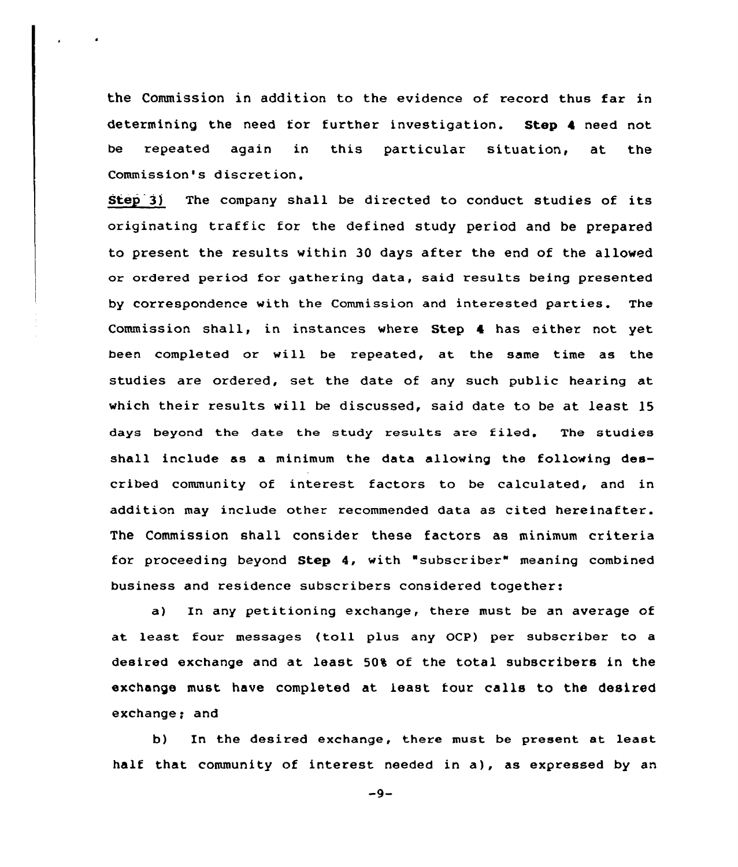the Commission in addition to the evidence of record thus far in determining the need for further investigation. Step 4 need not be repeated again in this particular situation, at the Commission's discretion.

Step 3) The company shall be directed to conduct studies of its originating traffic for the defined study period and be prepared to present the results within 30 days after the end of the allowed or ordered period for gathering data, said results being presented by correspondence with the Commission and interested parties. The Commission shall, in instances where Step 4 has either not yet been completed or will be repeated, at the same time as the studies are ordered, set the date of any such public hearing at which their results will be discussed, said date to be at least 15 days beyond the date the study results are filed. The studies shall include as a minimum the data allowing the following described community of interest factors to be calculated, and in addition may include other recommended data as cited hereinafter. The Commission shall consider these factors as minimum criteria for proceeding beyond Step 4, with "subscriber" meaning combined business and residence subscribers considered together:

a) In any petitioning exchange, there must be an average of at least four messages (toll plus any OCP) per subscriber to <sup>a</sup> desired exchange and at least 50% of the total subscribers in the exchange must have completed at least four calls to the desired exchange; and

b) In the desired exchange, there must be present at least half that community of interest needed in a), as expressed by an

 $-9-$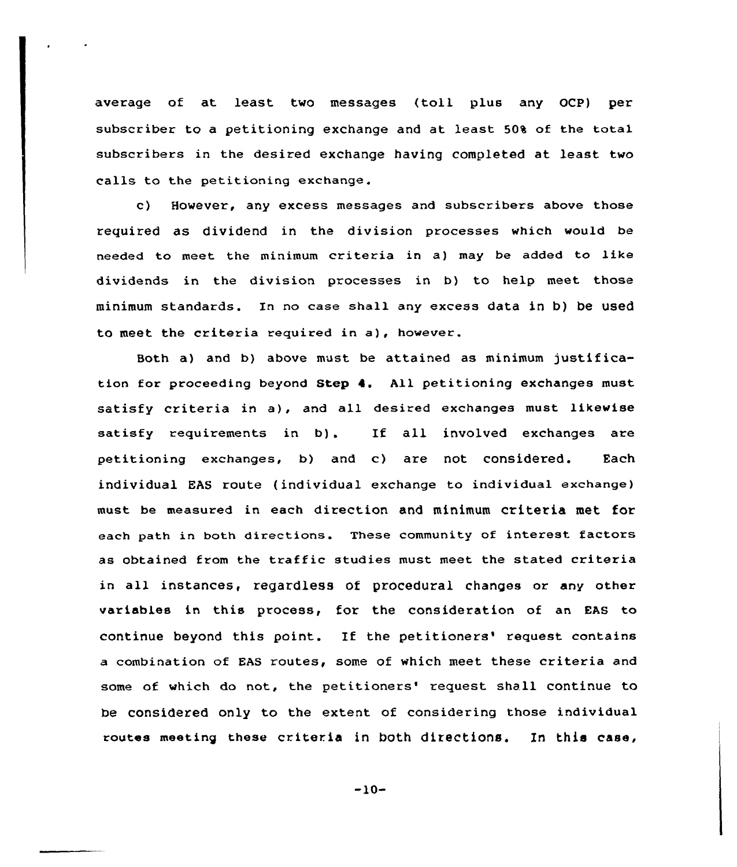average of at least two messages {toll plus any OCP) per subscriber to a petitioning exchange and at least 50% of the total subscribers in the desired exchange having completed at least two calls to the petitioning exchange.

c) However, any excess messages and subscribers above those required as dividend in the division processes which would be needed to meet the minimum criteria in a) may be added to like dividends in the division processes in b) to help meet those minimum standards. Xn no case shall any excess data in b) be used to meet the criteria required in a), however.

Both a} and b} above must be attained as minimum justification for proceeding beyond Step 4. All petitioning exchanges must satisfy criteria in a), and all desired exchanges must likewise satisfy requirements in b}. If all involved exchanges are petitioning exchanges, b) and c) are not considered. Each individual EAS route {individual exchange to individual exchange) must be measured in each direction and minimum criteria met for each path in both directions. These community of interest factors as obtained from the traffic studies must meet the stated criteria in all instances, regardless of procedural changes or any other variables in this process, for the consideration of an EAs to continue beyond this point. If the petitioners' request contains <sup>a</sup> combination of EAS routes, some of which meet these criteria and some of which do not, the petitioners' request shall continue to be considered only to the extent of considering those individual routes meeting these criteria in both ditections. En this case,

 $-10-$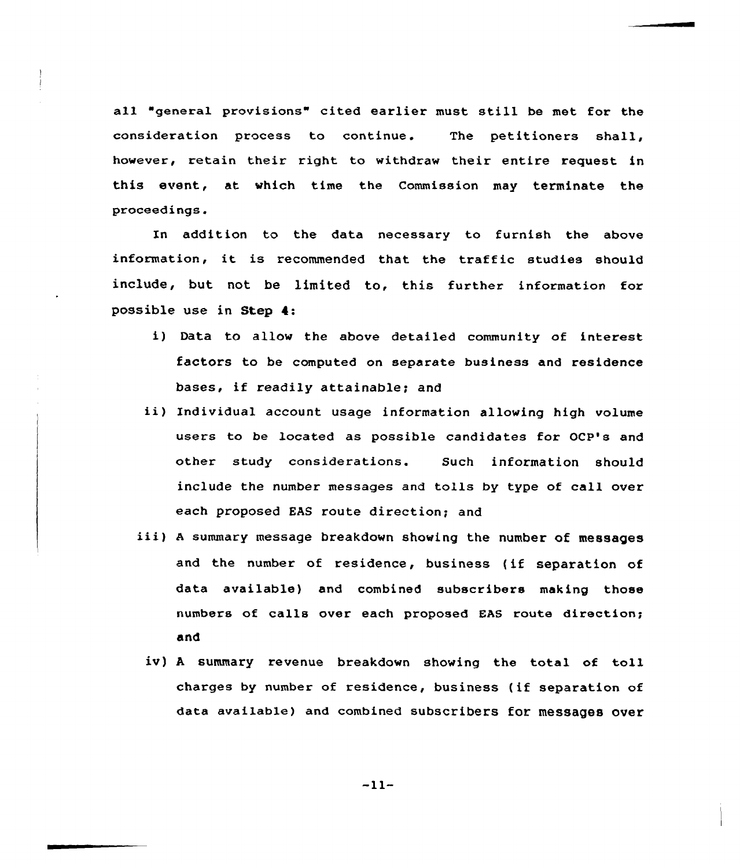all "general provisions" cited earlier must still be met for the consideration process to continue. The petitioners shall, however, retain their right to withdraw their entire request in this event, at which time the Commission may terminate the proceedings.

In addition to the data necessary to furnish the above information, it is recommended that the traffic studies should include, but not be limited to, this further information for possible use in Step 4:

- i) Data to allow the above detailed community of interest factors to be computed on separate business and residence bases, if readily attainable; and
- ii) Individual account usage information allowing high volume users to be located as possible candidates for OCP's and other study considerations. Such information should include the number messages and tolls by type of call over each proposed EAS route direction; and
- iii) <sup>A</sup> summary message breakdown showing the number of messages and the number of residence, business (if separation of data available) and combined subscribers making those numbers of calls over each proposed EAS route direction; and
	- iv) <sup>A</sup> summary revenue breakdown showing the total of toll charges by number of residence, business (if separation of data available) and combined subscribers for messages over

 $-11-$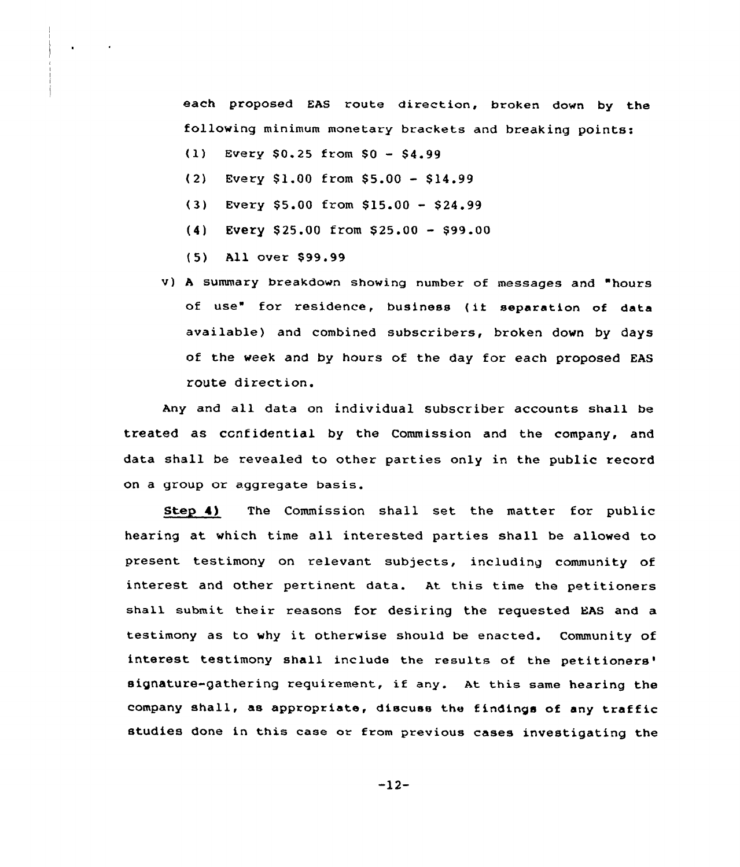each proposed EAS route direction, broken down by the following minimum monetary brackets and breaking points:

- $(1)$  Every \$0.25 from \$0 \$4.99
- $(2)$  Every \$1.00 from \$5.00 \$14.99
- $(3)$  Every \$5.00 from \$15.00 \$24.99
- $(4)$  Every \$25.00 from \$25.00 \$99.00
- (5) All over \$ 99.99
- v) <sup>A</sup> summary breakdown showing number of messages and hours of use" for residence, business (ii separation of data available) and combined subscribers, broken down by days of the week and by hours of the day for each proposed EAS route direction.

Any and all data on individual subscriber accounts shall be treated as confidential by the Commission and the company, and data shall be revealed to other parties only in the public record on a group or aggregate basis.

Step 4) The Commission shall set the matter for public hearing at which time all interested parties shall be allowed to present testimony on relevant subjects, including community of interest and other pertinent data. At this time the petitioners shall submit their reasons for desiring the requested EAS and a testimony as to why it otherwise should be enacted. Community of interest testimony shall include the results of the petitioners' signature-gathering requirement, if any. At this same hearing the company shall, as appropriate, discuss the findings of any traffic studies done in this case or from previous cases investigating the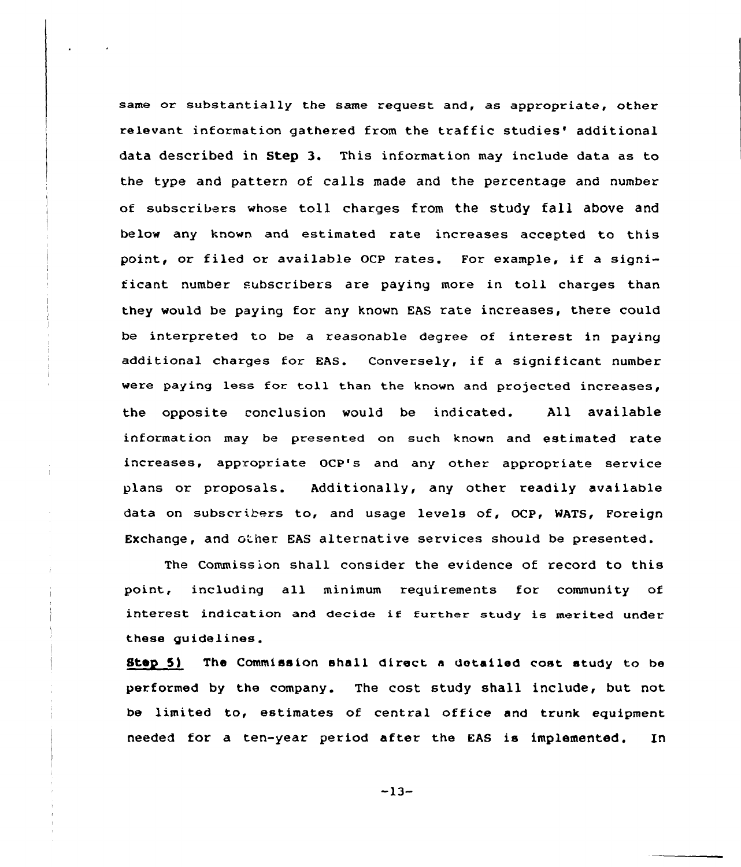same or substantially the same request and, as appropriate, other relevant information gathered from the traffic studies' additional data described in Step 3. This information may include data as to the type and pattexn of calls made and the percentage and number of subscribers whose toll charges from the study fall above and below any known and estimated xate increases accepted to this point, or filed or available OCP rates. For example, if <sup>a</sup> significant number subscribers are paying more in toll charges than they would be paying for any known EAS rate increases, thexe could be interpreted to be a xeasonable degree of interest in paying additional charges for EAS. Conversely, if <sup>a</sup> significant number were paying less for toll than the known and projected increases, the opposite conclusion would be indicated. All available infoxmation may be presented on such known and estimated rate increases, appropriate OCP's and any other appropriate service plans or proposals. Additionally, any other readily available data on subscribers to, and usage levels of, OCP, WATS, Foreign Exchange, and other EAS alternative services should be presented.

The Commission shall consider the evidence of record to this point, including all minimum requirements for community of interest indication and decide if further study is merited under these guidelines.

Stey 5) The Commission shall direct <sup>a</sup> detailed cost study to be performed by the company. The cost study shall include, but not be limited to, estimates of central office and trunk equipment needed for a ten-year period after the EAS is implemented. In

-13-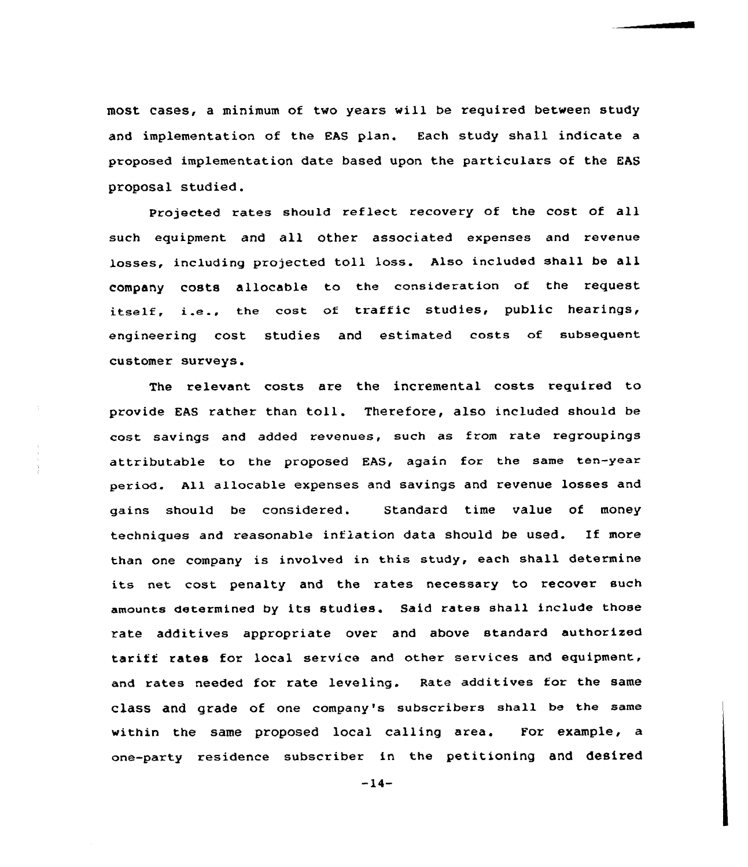most cases, a minimum of two years will be required between study and implementation of the EAS plan. Each study shall indicate a proposed implementation date based upon the particulars of the EAS proposal studied.

Projected rates should reflect recovery of the cost of all such equipment and all other associated expenses and revenue losses, including projected toll loss. Also included shall be all company costs allocable to the consideration of the request itself, i.e., the cost of traffic studies, public hearings, engineering cost studies and estimated costs of subsequent customer suxveys.

The relevant costs are the incremental costs required to provide EAS rather than toll. Therefore, also included should be cost savings and added revenues, such as from rate regroupings attributable to the proposed EAS, again for the same ten-year period. All allocable expenses and savings and revenue losses and gains should be considered. Standard time value of money techniques and reasonable inflation data should be used. If more than one company is involved in this study, each shall determine its net cost penalty and the rates necessary to recover such amounts determined by its studies. Said rates shall include those rate additives appropriate over and above standard authorized taxiff rates for local service and other services and equipment, and rates needed for rate leveling. Rate additives for the same class and grade of one company's subscxibers shall be the same within the same proposed local calling area. For example, a one-party residence subscriber in the petitioning and desired

 $-14-$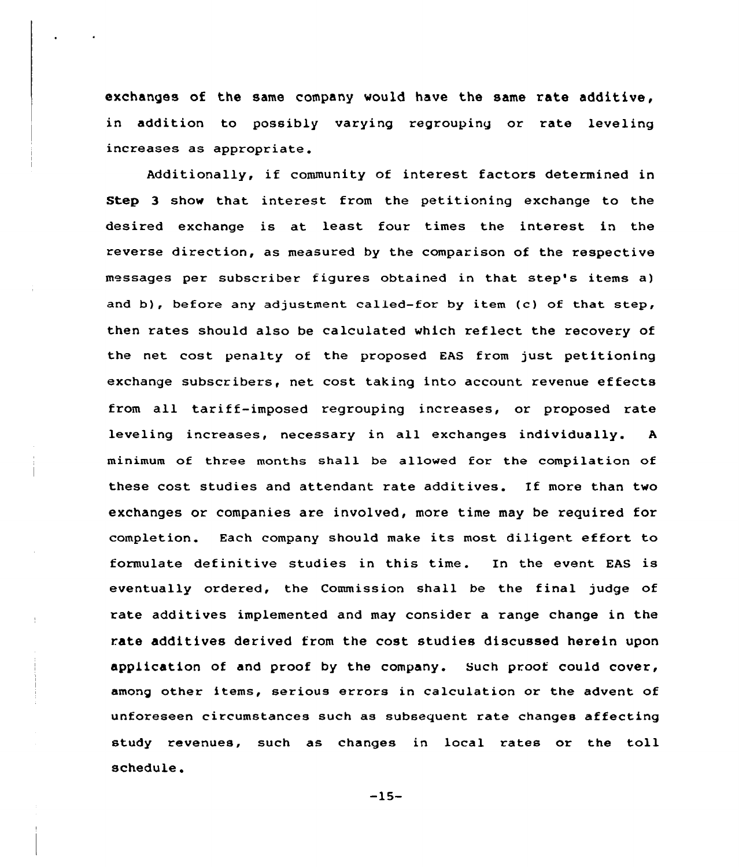exchanges of the same company would have the same rate additive, in addition to possibly varying regrouping or rate leveling .<br>increases as appropriat

Additionally, if community of interest factors determined in Step 3 show that interest from the petitioning exchange to the desired exchange is at least four times the interest in the reverse direction, as measured by the comparison of the respective messages per subscriber figures obtained in that step's items a) and b), before any adjustment called-for by item (c) of that step, then rates should also be calculated which reflect the recovery of the net cost penalty of the proposed EAS from just petitioning exchange subscribers, net cost taking into account revenue effects from all tariff-imposed regrouping increases, or proposed rate leveling increases, necessary in all exchanges individually. <sup>A</sup> minimum of three months shall be allowed for the compilation of these cost studies and attendant rate additives. If more than two exchanges or companies are involved, more time may be required for completion. Each company should make its most diligent effort to formulate definitive studies in this time. In the event EAS is eventually ordered, the Commission shall be the final judge of rate additives implemented and may consider a range change in the rate additives derived from the cost studies discussed herein upon application of and proof by the company. Such proof could cover, among other items, serious errors in calculation or the advent of unforeseen circumstances such as subsequent rate changes affecting study revenues, such as changes in local rates or the toll schedule.

 $-15-$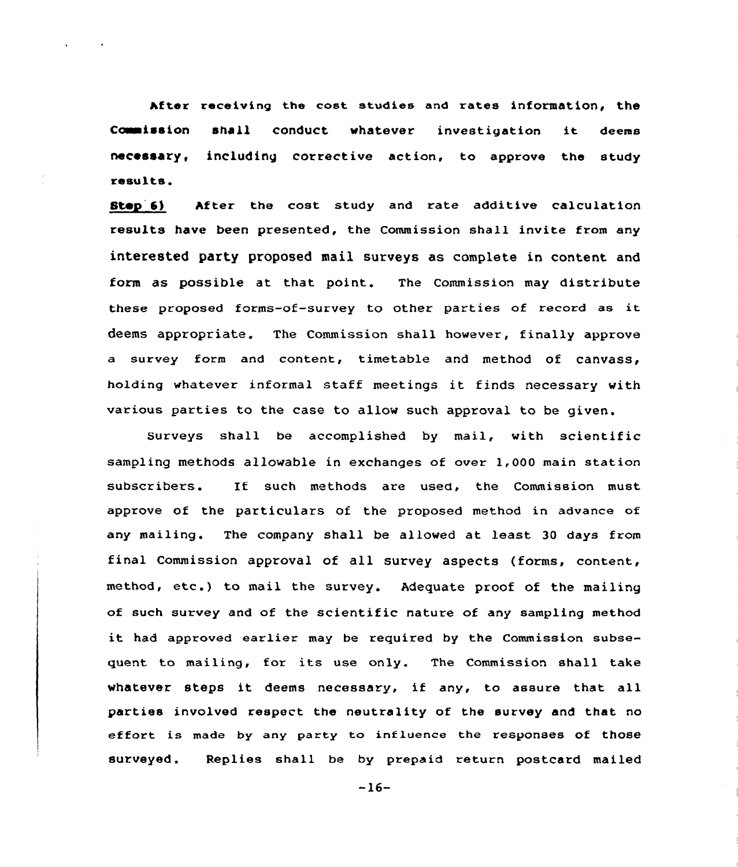After receiving the cost studies and rates information, the Commission shall conduct whatever investigation it deems necessary, including corrective action, to approve the study results.

Stay 6) After the cost study and rate additive calculation results have been presented, the Commission shall invite from any interested party proposed mail surveys as complete in content and form as possible at that point. The Commission may distribute these proposed forms-of-survey to other parties of record as it deems appropriate. The Commission shall however, finally appxove a survey form and content, timetable and method of canvass, holding whatever informal staff meetings it finds necessary with various parties to the case to allow such approval to be given.

Surveys shall be accomplished by mail, with scientific sampling methods allowable in exchanges of ovex 1,000 main station subscribers. If such methods are used, the Commission must approve of the particulars of the proposed method in advance of any mailing. The company shall be allowed at least 30 days from final Commission approval of all survey aspects (forms, content, method, etc.) to mail the survey. Adequate proof of the mailing of such suxvey and of the scientific nature of any sampling method it had approved eaxlier may be required by the Commission subsequent to mailing, for its use only. The Commission shall take whatever steps it deems necessary, if any, to assure that all parties involved respect the neutxality of the survey and that no effort is made by any party to influence the responses of those surveyed. Replies shall be by prepaid return postcard mailed

-16-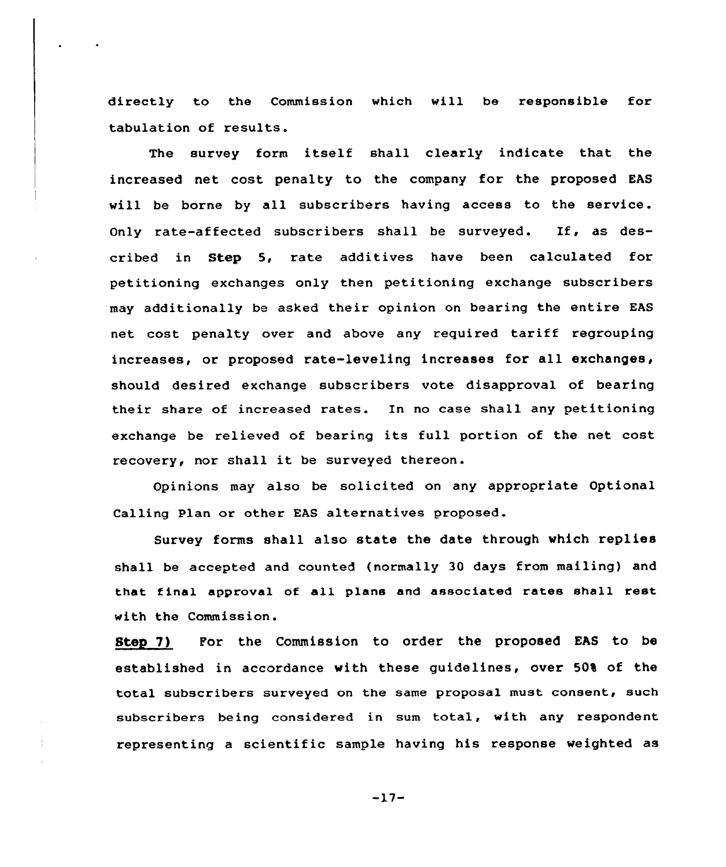directly to the Commission which will be responsible for tabulation of results.

The survey form itself shall clearly indicate that the increased net cost penalty to the company for the proposed EAS will be borne by all subscribers having access to the service. Only rate-affected subscribers shall be surveyed. If, as described in Step 5, rate additives have been calculated for petitioning exchanges only then petitioning exchange subscribers may additionally be asked their opinion on bearing the entire EAS net cost penalty over and above any required tariff regrouping increases, or proposed rate-leveling increases for all exchanges, should desired exchange subscribers vote disapproval of bearing their share of increased rates. In no case shall any petitioning exchange be relieved of bearing its full portion of the net cost recovery, nor shall it be surveyed thereon.

Opinions may also be solicited on any appropriate Optional Calling Plan or other EAS alternatives proposed.

Survey forms shall also state the date through which replies shall be accepted and counted {normally 30 days from mailing) and that final approval of all plans and associated rates shall rest with the Commission.

Step 7) For the Commission to order the proposed EAS to be established in accordance with these guidelines, over 50% of the total subscribers surveyed on the same proposal must consent, such subscribers being considered in sum total, with any respondent representing a scientific sample having his response weighted as

 $-17-$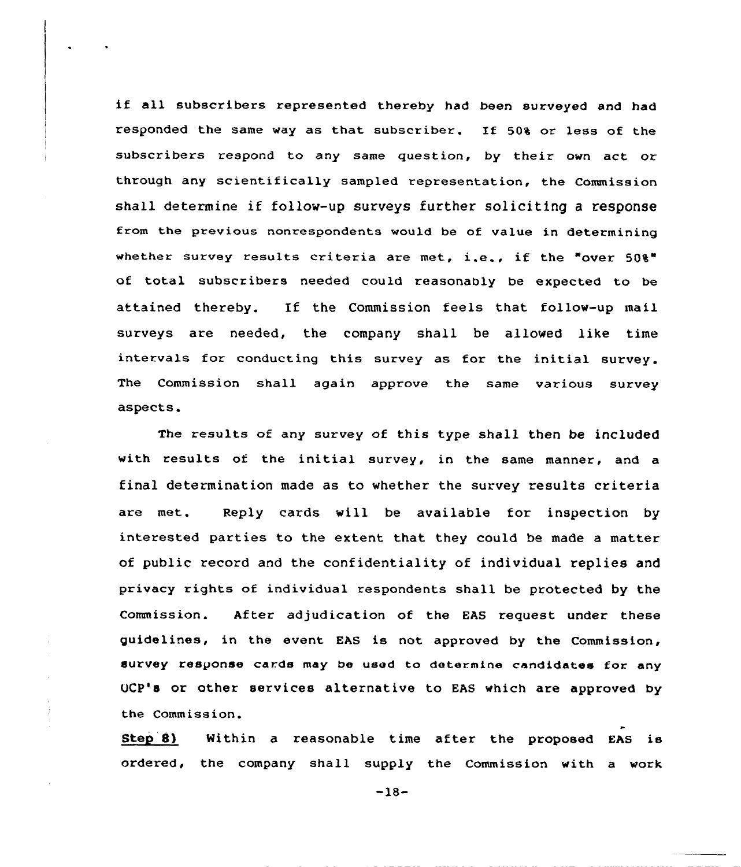if all subscribers xepresented thereby had been surveyed and had responded the same way as that subscxibex. If 50% or less of the subscribers respond to any same question, by their own act or thxough any scientifically sampled representation, the Commission shall determine if follow-up surveys further soliciting <sup>a</sup> response from the previous nonxespondents would be of value in determining whether survey results criteria axe met, i.e., if the "over 50%" of total subscribexs needed could reasonably be expected to be attained thereby. If the Commission feels that follow-up mail surveys are needed, the company shall be allowed like time intervals for conducting this survey as for the initial survey. The Commission shall again approve the same various survey aspects.

The xesults of any survey of this type shall then be included with results of the initial survey, in the same manner, and a final determination made as to whether the survey results criteria are met. Reply cards will be available for inspection by intexested parties to the extent that they could be made a matter of public record and the confidentiality of individual replies and privacy rights of individual respondents shall be protected by the Commission. Aftex adjudication of the EAS xequest under these guidelines, in the event EAS is not approved by the Commission, survey response cards may be used to determine candidates for any UCP's or other services alternative to EAS which are approved by the Commission.

Step 8) Within a reasonable time after the proposed EAS is ordered, the company shall supply the Commission with a work

 $-18-$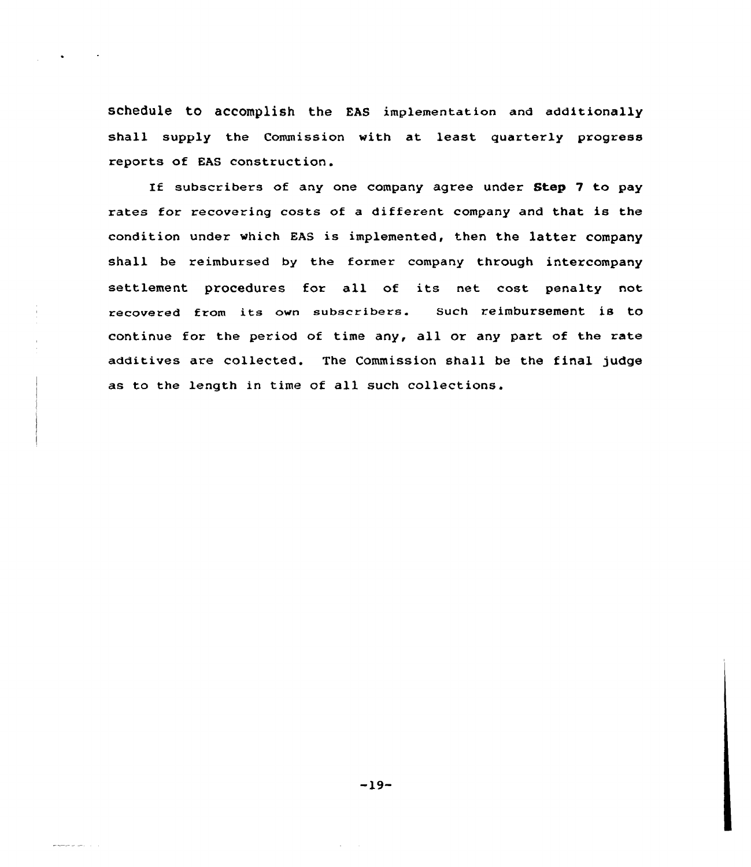schedule to accomplish the EAS implementation and additionally shall supply the Commission with at least quarterly progress reports of EAS construction.

If subscribers of any one company agree under Step 7 to pay rates for recovering costs of a different company and that is the condition under which EAS is implemented, then the latter company shall be reimbursed by the former company through intercompany settlement procedures for all of its net cost penalty not recovered from its own subscribers. Such reimbursement is to continue for the period of time any, all or any part of the rate additives are collected. The Commission shall be the final judge as to the length in time of all such collections.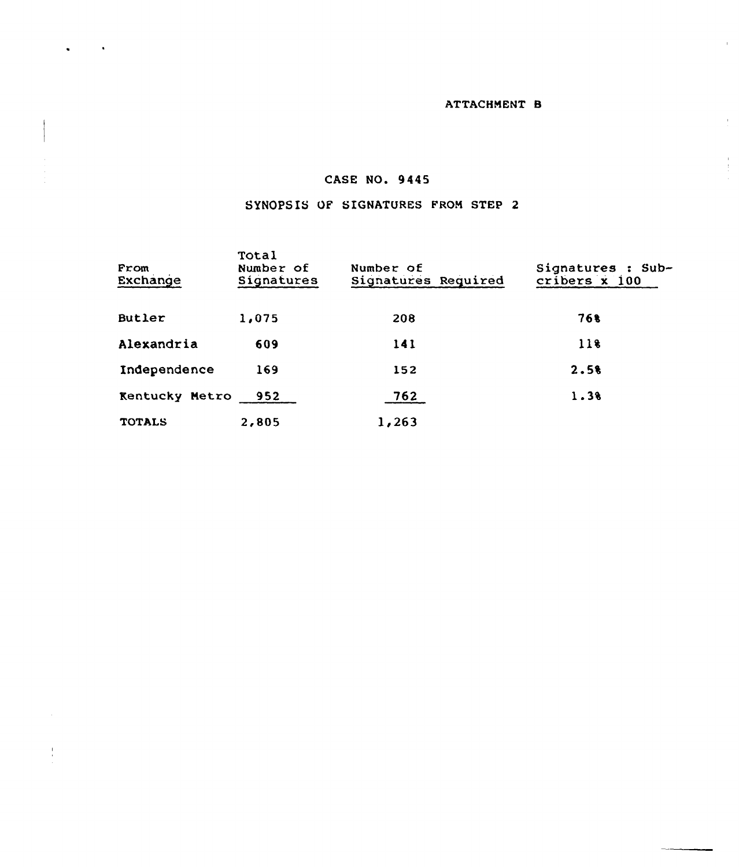# ATTACHMENT B

 $\mathbf{r}$ 

 $\bar{r}$ 

 $\frac{1}{4}$ 

# CASE NO. 9445

# SYNOPSIS OF SIGNATURES FROM STEP 2

| From<br>Exchange      | Total<br>Number of<br>Signatures | Number of<br>Signatures Required | Signatures : Sub-<br>cribers x 100 |
|-----------------------|----------------------------------|----------------------------------|------------------------------------|
| Butler                | 1,075                            | 208                              | 768                                |
| Alexandria            | 609                              | 141                              | 118                                |
| Independence          | 169                              | 152                              | 2.58                               |
| <b>Kentucky Metro</b> | 952                              | 762                              | 1.38                               |
| <b>TOTALS</b>         | 2,805                            | 1,263                            |                                    |

 $\frac{1}{\epsilon}$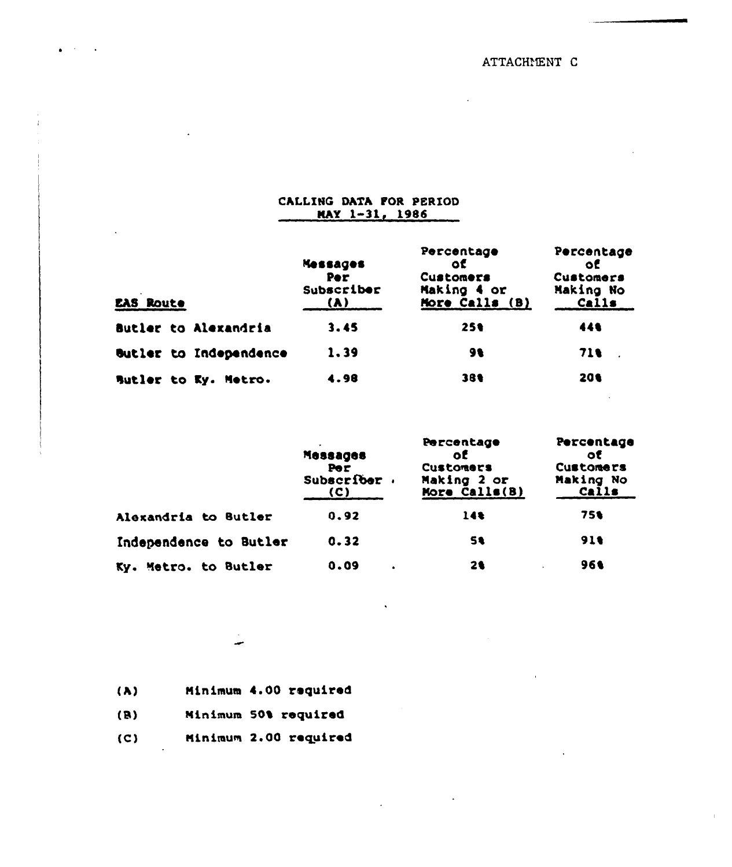ATTACHMENT C

| CALLING DATA FOR PERIOD<br>$MAX$ $1-31$ , 1986 |                                             |                                                                |                                                     |  |
|------------------------------------------------|---------------------------------------------|----------------------------------------------------------------|-----------------------------------------------------|--|
| $\blacksquare$<br><b>EAS ROUTE</b>             | <b>Messages</b><br>Per<br>Subscriber<br>(A) | Percentage<br>٥ť<br>Customers<br>Making 4 or<br>More Calls (B) | Percentage<br>٥Ē<br>Customers<br>Making No<br>Calls |  |
| Butler to Alexandria                           | 3.45                                        | 251                                                            | 441                                                 |  |
| <b>Butler to Independence</b>                  | 1.39                                        | 91                                                             | 71 L                                                |  |
| Butler to Ky. Metro.                           | 4.98                                        | 381                                                            | 201                                                 |  |

|                         | Messages<br>Per<br>Subscriber.<br>(C) | Percentage<br>оĒ<br>Customers<br>Making 2 or<br>More Calls(B) | Percentage<br>ОĒ<br>Customers<br>Making No<br>Calls |
|-------------------------|---------------------------------------|---------------------------------------------------------------|-----------------------------------------------------|
| Alexandria to Butler    | 0.92                                  | 14%                                                           | 75%                                                 |
| Independence to Butler  | 0.32                                  | 5ŧ                                                            | 919                                                 |
| Metro. to Butler<br>KY. | 0.09                                  | 21                                                            | 961                                                 |

 $\bar{\mathcal{A}}$ 

Minimum 4.00 required  $\lambda$ )  $(B)$ Minimum 50% required  $(C)$ Minimum 2.00 required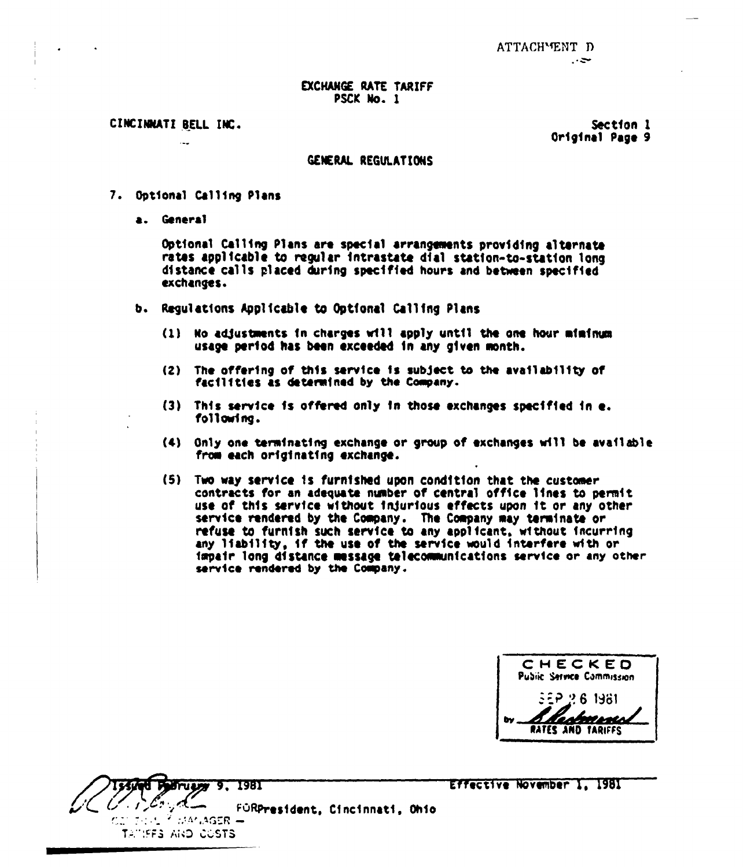CINCINNATI BELL INC.

د ده

Section 1 Original Page 9

### GENERAL REGULATIONS

- 7. Opt1onal Call 1ng Plans
	- a. General

Optional Calling Plans are special arrangements providing alternate rates applicable to regular fntrastate dfal station-to-station long d1stance calls placed during specified hours and between specif1ed exchanges

- b. Regulations Applicable to Optional Calling Plans
	- $(1)$  No adjustments in charges will apply until the one hour miminum usage period has been exceeded in any given month.
	- (2) The offering of this service is subject to the availability of facilities as determined by the Company.
	- (3) This service fs offered only fn those exchanges specified fn e. foll owf ng.
	- (4) Only one terminating exchange or group of exchanges will be available from each originating exchange.
	- (5) Two way service fs furntshed upon condftfon that the custower contracts for an adequate number of central office lines to permit use of this service without injurious effects upon it or any other service rendered by the Company. The Company may terminate or refuse to furnish such service to any applfcant, without incurring any liability, if the use of the service would interfere with or impair long distance message telecommunications service or any other service rendered by the Company.

**CHECKED** Public Service Commission 1881-8-9-52 marco **RATES AND TARIFFS** 



Effective November 1, 1981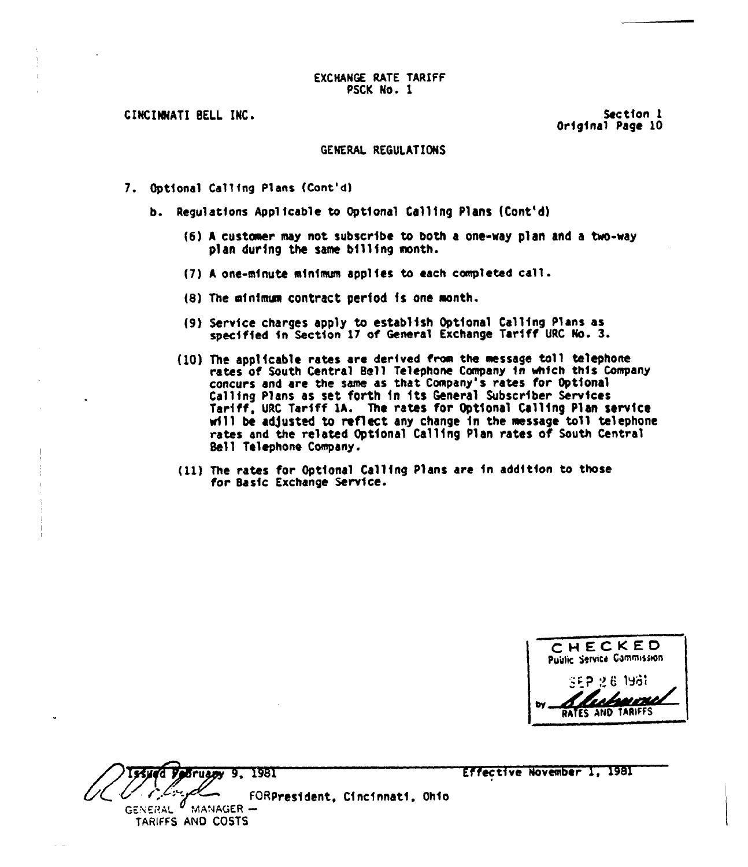CINClNNATI BELL INC.

Section 1 Orfgfnal Page 10

#### GENERAL REGULATIONS

- 7. Optional Callfng Plans (Cont'd)
	- b. Regulatfons Applicable to optional calling Plans (cont'd)
		- (6) <sup>A</sup> custeaer may not subscribe to both a one-way plan and a two-way plan during the same billing month.
		- (7) <sup>A</sup> one-minute mfnfmum applies to each completed call.
		- (8) The minimum contract period is one month.
		- (9) Service charges apply to establish Optional Calling Plans as specified in Section <sup>17</sup> of General Exchange Tariff URC No. 3.
		- (10) The applicable rates are derived from the message toll telephone rates of South Central Bell Telephone Company fn whfch thfs Company concurs and are the same as that Company's rates for Optional Calling Plans as set forth in its General Subscriber Services Tariff, URC Tariff 1A. The rates for Optional Calling Plan service will be adjusted to reflect any change in the message toll telephone rates and the related Optional Calling Plan rates of South Central Bell Telephone Company,
		- (11) The rates for Optional Calling Plans are fn addition to those for Sasfc Exchange Service.

CHECKED Public Service Commission '';i p;> 6 13ii< RATES AND TARIFFS

Podrugov 9, 1981 FORPresident, Cincfnnatf, Ohio GENERAL  $^{\prime\prime}$  MANAGER — TARIFFS AND COSTS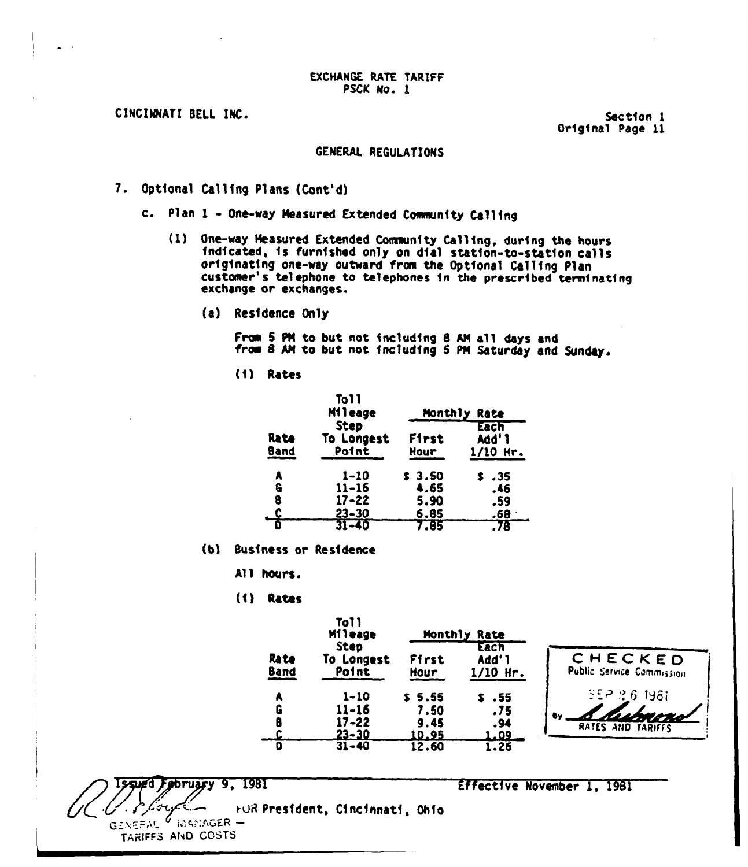CINCINNATI SELL INC.

Sectfon 1 Orfgfnal Page ll

#### GENERAl REGUlATIONS

- 7. Optfonal Callfng Plans (Cont'd)
	- c. Plan 1 One-way Measured Extended Community Calling
		- (1) One-way Neasured Extended Coneunfty Call fng, durfng the hours fndfcated, fs furnfshed only on dfal statfon-to-statfon calls originating one-way outward from the Optional Calling Plan customer's telephone to telephones in the prescribed terminating exchange or exchanges.
			- (a) Resfdence Only

From 5 PM to but not including 8 AM all days and from 8 AM to but not including 5 PM Saturday and Sunday.

(f) Rates

|              | <b>To11</b><br>Mileage                          | Monthly<br>Rate                |                           |
|--------------|-------------------------------------------------|--------------------------------|---------------------------|
| Rate<br>Band | <b>Step</b><br>To Longest<br>Point              | First<br>Hour                  | Each<br>Add'1<br>1/10 Hr. |
| A<br>G<br>8  | $1 - 10$<br>$11 - 16$<br>$17 - 22$<br>$23 - 30$ | \$3.50<br>4.65<br>5.90<br>6.85 | . 35<br>.46<br>.59<br>.68 |
|              | $31 - 40$                                       | 7.85                           | .78                       |

(b) Business or Residence

All hours.

(f) Rates

|       | <b>To11</b><br><b>Mileage</b> | Monthly Rate  |                  |
|-------|-------------------------------|---------------|------------------|
| Ra te | Step<br>To Longest            | First         | Each<br>Add'1    |
| Band  | Point                         | Hour          | $1/10$ Hr.       |
| A     | 1-10                          | \$5.55        | $\textbf{s}$ .55 |
| G     | $11 - 16$                     | 7.50          | .75              |
| B     | 17-22                         | 9.45          | .94              |
| C.    | <u>23-30</u>                  | <u> 10.95</u> | 1.09             |
|       | $31 - 40$                     | 12.60         | 1.26             |

CHECKED Public Service Commission ==~:?6 t98i SEP 16 1981 I

sued February 9, 1981 **Effective November 1, 1981** 

~uR Presfdent, Cfncfnnatf, Ohfo

 $G$ ENERAL  $^6$  . MANIAGER  $-$ TARIFFS AND COSTS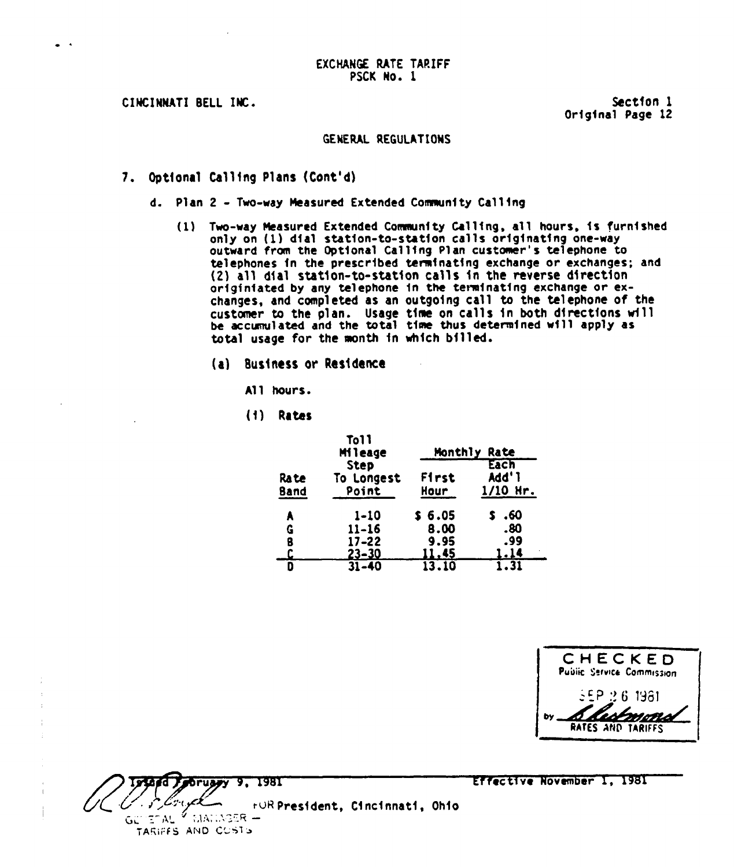CIHCINMATI BELL INC.

Sectfon 1 Original Page 12

### GENERAL REGULATIOHS

- 7. Dptfonal Calling Plans (Cont'd)
	- d. Plan 2 Two-way Measured Extended Community Calling
		- (1) Two-way Measured Extended Community Calling, all hours, is furnished only on (1) dial station-to-station calls originating one-way outward from the Optional Calling Plan customer's telephone to telephones in the prescribed terminating exchange or exchanges; and (2) all dial station-to-station calls in the reverse direction orfgfnfated by any telephone fn the termfnatfng exchange or exchanges, and completed as an outgoing call to the telephone of the customer to the plan. Usage time on calls in both directions will be accranulated and the total time thus deterrmfncd wfll apply as total usage for the month in which billed.
			- (al Business er Resfdence
				- All hours.
				- Rates

|                      | <b>To11</b><br>Mileage             | Monthly<br>Rate |                             |
|----------------------|------------------------------------|-----------------|-----------------------------|
| Ra te<br><b>Band</b> | <b>Step</b><br>To Longest<br>Point | First<br>Hour   | Each<br>Add'l<br>$1/10$ Hr. |
| A                    | 1-10                               | \$6.05          | .60                         |
| G                    | $11 - 16$                          | 8.00            | .80                         |
| 8                    | $17 - 22$                          | 9.95            | .99                         |
|                      | 23-30                              | <u> 11.45 </u>  | <u>1.14</u>                 |
|                      | $31 - 40$                          | 13.10           | 1.31                        |

| CHECKED<br><b>Public Service Commission</b> |
|---------------------------------------------|
| 35P 2.6 1981<br><b>S Resembre</b>           |
|                                             |

Porusyy 9, 1981 r.UR President, Cincinnati, Ohio ግሊህ ገ TARIFES AND CUSTS

Kffectfve NOvember 1, 1981